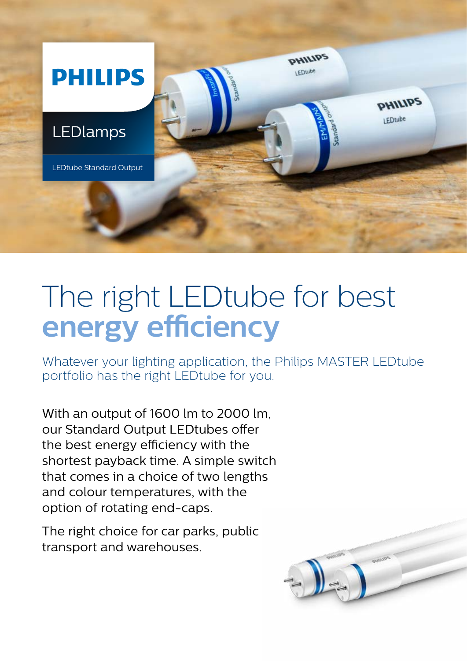

## The right LEDtube for best **energy efficiency**

Whatever your lighting application, the Philips MASTER LEDtube portfolio has the right LEDtube for you.

With an output of 1600 lm to 2000 lm, our Standard Output LEDtubes offer the best energy efficiency with the shortest payback time. A simple switch that comes in a choice of two lengths and colour temperatures, with the option of rotating end-caps.

The right choice for car parks, public transport and warehouses.